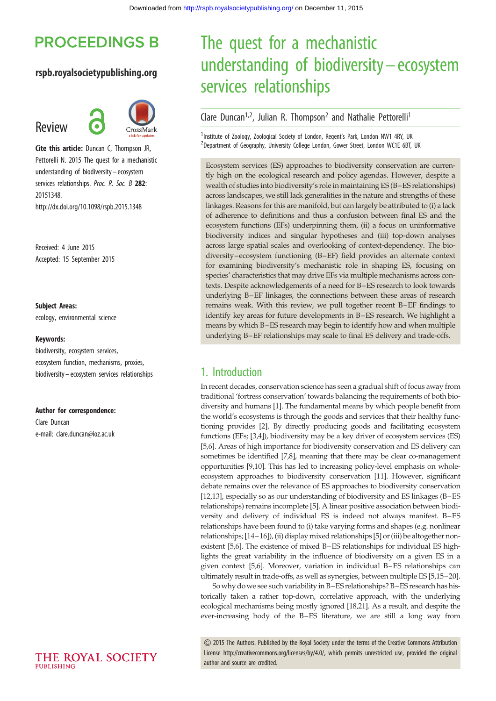# **PROCEEDINGS B**

#### rspb.royalsocietypublishing.org

## Review



Cite this article: Duncan C, Thompson JR, Pettorelli N. 2015 The quest for a mechanistic understanding of biodiversity – ecosystem services relationships. Proc. R. Soc. B 282: 20151348. http://dx.doi.org/10.1098/rspb.2015.1348

Received: 4 June 2015 Accepted: 15 September 2015

#### Subject Areas:

ecology, environmental science

#### Keywords:

biodiversity, ecosystem services, ecosystem function, mechanisms, proxies, biodiversity – ecosystem services relationships

#### Author for correspondence:

Clare Duncan e-mail: [clare.duncan@ioz.ac.uk](mailto:clare.duncan@ioz.ac.uk)

# The quest for a mechanistic understanding of biodiversity– ecosystem services relationships

## Clare Duncan<sup>1,2</sup>, Julian R. Thompson<sup>2</sup> and Nathalie Pettorelli<sup>1</sup>

<sup>1</sup>Institute of Zoology, Zoological Society of London, Regent's Park, London NW1 4RY, UK <sup>2</sup>Department of Geography, University College London, Gower Street, London WC1E 6BT, UK

Ecosystem services (ES) approaches to biodiversity conservation are currently high on the ecological research and policy agendas. However, despite a wealth of studies into biodiversity's role in maintaining ES (B–ES relationships) across landscapes, we still lack generalities in the nature and strengths of these linkages. Reasons for this are manifold, but can largely be attributed to (i) a lack of adherence to definitions and thus a confusion between final ES and the ecosystem functions (EFs) underpinning them, (ii) a focus on uninformative biodiversity indices and singular hypotheses and (iii) top-down analyses across large spatial scales and overlooking of context-dependency. The biodiversity–ecosystem functioning (B–EF) field provides an alternate context for examining biodiversity's mechanistic role in shaping ES, focusing on species' characteristics that may drive EFs via multiple mechanisms across contexts. Despite acknowledgements of a need for B–ES research to look towards underlying B–EF linkages, the connections between these areas of research remains weak. With this review, we pull together recent B–EF findings to identify key areas for future developments in B–ES research. We highlight a means by which B–ES research may begin to identify how and when multiple underlying B–EF relationships may scale to final ES delivery and trade-offs.

## 1. Introduction

In recent decades, conservation science has seen a gradual shift of focus away from traditional 'fortress conservation' towards balancing the requirements of both biodiversity and humans [[1](#page-7-0)]. The fundamental means by which people benefit from the world's ecosystems is through the goods and services that their healthy functioning provides [\[2](#page-7-0)]. By directly producing goods and facilitating ecosystem functions (EFs; [\[3,4](#page-7-0)]), biodiversity may be a key driver of ecosystem services (ES) [[5,6\]](#page-7-0). Areas of high importance for biodiversity conservation and ES delivery can sometimes be identified [\[7,8](#page-7-0)], meaning that there may be clear co-management opportunities [\[9,10](#page-7-0)]. This has led to increasing policy-level emphasis on wholeecosystem approaches to biodiversity conservation [\[11\]](#page-7-0). However, significant debate remains over the relevance of ES approaches to biodiversity conservation [[12,13\]](#page-7-0), especially so as our understanding of biodiversity and ES linkages (B–ES relationships) remains incomplete [\[5\]](#page-7-0). A linear positive association between biodiversity and delivery of individual ES is indeed not always manifest. B–ES relationships have been found to (i) take varying forms and shapes (e.g. nonlinear relationships; [[14](#page-7-0)–[16](#page-7-0)]), (ii) display mixed relationships [\[5](#page-7-0)] or (iii) be altogether nonexistent [\[5,6](#page-7-0)]. The existence of mixed B–ES relationships for individual ES highlights the great variability in the influence of biodiversity on a given ES in a given context [[5,6\]](#page-7-0). Moreover, variation in individual B–ES relationships can ultimately result in trade-offs, as well as synergies, between multiple ES [\[5,15](#page-7-0)–[20\]](#page-8-0).

So why dowe see such variability in B–ES relationships? B–ES research has historically taken a rather top-down, correlative approach, with the underlying ecological mechanisms being mostly ignored [\[18,21\]](#page-8-0). As a result, and despite the ever-increasing body of the B–ES literature, we are still a long way from

& 2015 The Authors. Published by the Royal Society under the terms of the Creative Commons Attribution License [http://creativecommons.org/licenses/by/4.0/, which permits unrestricted use, provided the original](http://creativecommons.org/licenses/by/4.0/) [author and source are credited.](http://creativecommons.org/licenses/by/4.0/)

THE ROYAL SOCIETY PURLISHING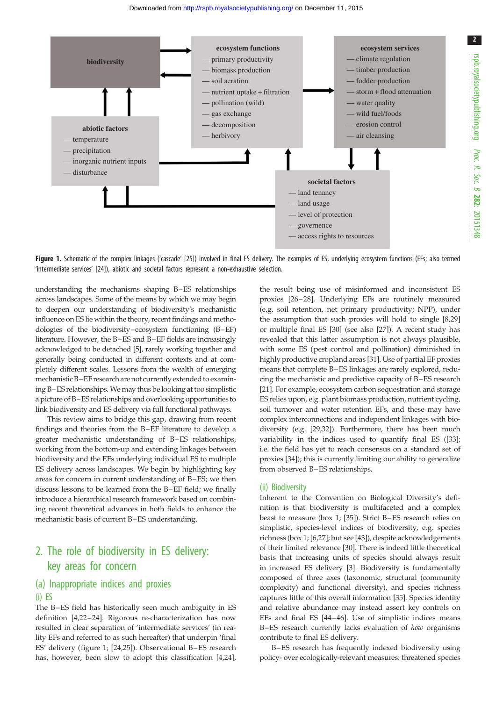<span id="page-1-0"></span>

Figure 1. Schematic of the complex linkages ('cascade' [[25](#page-8-0)]) involved in final ES delivery. The examples of ES, underlying ecosystem functions (EFs; also termed 'intermediate services' [\[24\]](#page-8-0)), abiotic and societal factors represent a non-exhaustive selection.

understanding the mechanisms shaping B–ES relationships across landscapes. Some of the means by which we may begin to deepen our understanding of biodiversity's mechanistic influence on ES lie within the theory, recent findings and methodologies of the biodiversity–ecosystem functioning (B–EF) literature. However, the B–ES and B–EF fields are increasingly acknowledged to be detached [[5](#page-7-0)], rarely working together and generally being conducted in different contexts and at completely different scales. Lessons from the wealth of emerging mechanistic B–EF research are not currently extended to examining B–ES relationships. We may thus be looking at too simplistic a picture of B–ES relationships and overlooking opportunities to link biodiversity and ES delivery via full functional pathways.

This review aims to bridge this gap, drawing from recent findings and theories from the B–EF literature to develop a greater mechanistic understanding of B–ES relationships, working from the bottom-up and extending linkages between biodiversity and the EFs underlying individual ES to multiple ES delivery across landscapes. We begin by highlighting key areas for concern in current understanding of B–ES; we then discuss lessons to be learned from the B–EF field; we finally introduce a hierarchical research framework based on combining recent theoretical advances in both fields to enhance the mechanistic basis of current B–ES understanding.

## 2. The role of biodiversity in ES delivery: key areas for concern

#### (a) Inappropriate indices and proxies (i) ES

The B-ES field has historically seen much ambiguity in ES definition [[4](#page-7-0)[,22](#page-8-0)–[24\]](#page-8-0). Rigorous re-characterization has now resulted in clear separation of 'intermediate services' (in reality EFs and referred to as such hereafter) that underpin 'final ES' delivery (figure 1; [\[24](#page-8-0),[25\]](#page-8-0)). Observational B –ES research has, however, been slow to adopt this classification [[4](#page-7-0)[,24](#page-8-0)],

the result being use of misinformed and inconsistent ES proxies [[26](#page-8-0)–[28](#page-8-0)]. Underlying EFs are routinely measured (e.g. soil retention, net primary productivity; NPP), under the assumption that such proxies will hold to single [\[8,](#page-7-0)[29\]](#page-8-0) or multiple final ES [[30\]](#page-8-0) (see also [[27\]](#page-8-0)). A recent study has revealed that this latter assumption is not always plausible, with some ES (pest control and pollination) diminished in highly productive cropland areas [[31\]](#page-8-0). Use of partial EF proxies means that complete B–ES linkages are rarely explored, reducing the mechanistic and predictive capacity of B–ES research [[21\]](#page-8-0). For example, ecosystem carbon sequestration and storage ES relies upon, e.g. plant biomass production, nutrient cycling, soil turnover and water retention EFs, and these may have complex interconnections and independent linkages with biodiversity (e.g. [\[29,32](#page-8-0)]). Furthermore, there has been much variability in the indices used to quantify final ES ([[33\]](#page-8-0); i.e. the field has yet to reach consensus on a standard set of proxies [\[34](#page-8-0)]); this is currently limiting our ability to generalize from observed B–ES relationships.

#### (ii) Biodiversity

Inherent to the Convention on Biological Diversity's definition is that biodiversity is multifaceted and a complex beast to measure (box 1; [\[35](#page-8-0)]). Strict B–ES research relies on simplistic, species-level indices of biodiversity, e.g. species richness (box 1; [\[6](#page-7-0)[,27](#page-8-0)]; but see [\[43](#page-8-0)]), despite acknowledgements of their limited relevance [\[30](#page-8-0)]. There is indeed little theoretical basis that increasing units of species should always result in increased ES delivery [\[3](#page-7-0)]. Biodiversity is fundamentally composed of three axes (taxonomic, structural (community complexity) and functional diversity), and species richness captures little of this overall information [[35\]](#page-8-0). Species identity and relative abundance may instead assert key controls on EFs and final ES [\[44](#page-8-0)–[46](#page-8-0)]. Use of simplistic indices means B–ES research currently lacks evaluation of how organisms contribute to final ES delivery.

B–ES research has frequently indexed biodiversity using policy- over ecologically-relevant measures: threatened species

2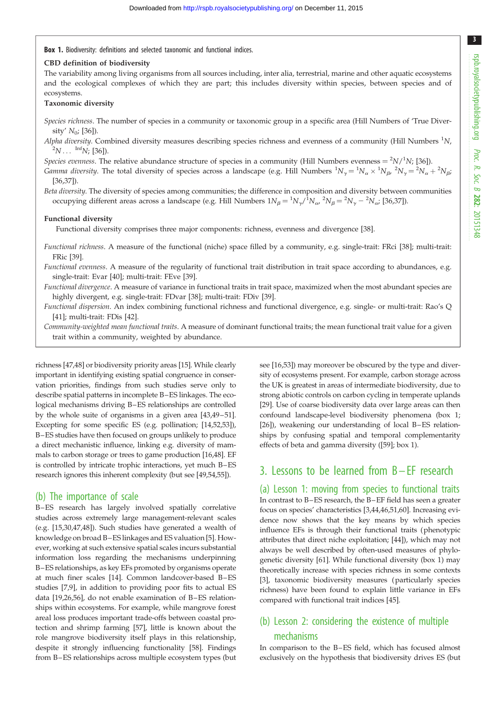Box 1. Biodiversity: definitions and selected taxonomic and functional indices.

#### CBD definition of biodiversity

The variability among living organisms from all sources including, inter alia, terrestrial, marine and other aquatic ecosystems and the ecological complexes of which they are part; this includes diversity within species, between species and of ecosystems.

#### Taxonomic diversity

Species richness. The number of species in a community or taxonomic group in a specific area (Hill Numbers of 'True Diversity'  $N_0$ ; [\[36](#page-8-0)]).

Alpha diversity. Combined diversity measures describing species richness and evenness of a community (Hill Numbers  ${}^{1}N$ ,  ${}^{2}N...$  <sup>Inf</sup>N; [[36\]](#page-8-0)).

Species evenness. The relative abundance structure of species in a community (Hill Numbers evenness =  $^2N/^1N$ ; [\[36](#page-8-0)]).

*Gamma diversity*. The total diversity of species across a landscape (e.g. Hill Numbers  ${}^1N_\gamma = {}^1N_\alpha \times {}^1N_\beta$ ,  ${}^2N_\gamma = {}^2N_\alpha + {}^2N_\beta$ ) [[36,37](#page-8-0)]).

Beta diversity. The diversity of species among communities; the difference in composition and diversity between communities occupying different areas across a landscape (e.g. Hill Numbers  $1N_\beta = {}^1N_\gamma / {}^1N_\alpha$ ,  ${}^2N_\beta = {}^2N_\gamma - {}^2N_\alpha$ ; [\[36,37](#page-8-0)]).

#### Functional diversity

Functional diversity comprises three major components: richness, evenness and divergence [\[38](#page-8-0)].

Functional richness. A measure of the functional (niche) space filled by a community, e.g. single-trait: FRci [[38\]](#page-8-0); multi-trait: FRic [\[39](#page-8-0)].

Functional evenness. A measure of the regularity of functional trait distribution in trait space according to abundances, e.g. single-trait: Evar [[40\]](#page-8-0); multi-trait: FEve [[39\]](#page-8-0).

Functional divergence. A measure of variance in functional traits in trait space, maximized when the most abundant species are highly divergent, e.g. single-trait: FDvar [\[38](#page-8-0)]; multi-trait: FDiv [\[39](#page-8-0)].

Functional dispersion. An index combining functional richness and functional divergence, e.g. single- or multi-trait: Rao's Q [[41\]](#page-8-0); multi-trait: FDis [[42\]](#page-8-0).

Community-weighted mean functional traits. A measure of dominant functional traits; the mean functional trait value for a given trait within a community, weighted by abundance.

richness [[47](#page-8-0),[48](#page-8-0)] or biodiversity priority areas [\[15\]](#page-7-0). While clearly important in identifying existing spatial congruence in conservation priorities, findings from such studies serve only to describe spatial patterns in incomplete B–ES linkages. The ecological mechanisms driving B–ES relationships are controlled by the whole suite of organisms in a given area [[43](#page-8-0),[49](#page-8-0)–[51](#page-8-0)]. Excepting for some specific ES (e.g. pollination; [[14,](#page-7-0)[52,53\]](#page-8-0)), B–ES studies have then focused on groups unlikely to produce a direct mechanistic influence, linking e.g. diversity of mammals to carbon storage or trees to game production [[16,](#page-7-0)[48\]](#page-8-0). EF is controlled by intricate trophic interactions, yet much B–ES research ignores this inherent complexity (but see [[49](#page-8-0),[54](#page-8-0),[55](#page-8-0)]).

#### (b) The importance of scale

B–ES research has largely involved spatially correlative studies across extremely large management-relevant scales (e.g. [[15](#page-7-0),[30,47,48\]](#page-8-0)). Such studies have generated a wealth of knowledge on broad B–ES linkages and ES valuation [\[5](#page-7-0)]. However, working at such extensive spatial scales incurs substantial information loss regarding the mechanisms underpinning B–ES relationships, as key EFs promoted by organisms operate at much finer scales [[14](#page-7-0)]. Common landcover-based B–ES studies [\[7,9\]](#page-7-0), in addition to providing poor fits to actual ES data [[19,26,56\]](#page-8-0), do not enable examination of B–ES relationships within ecosystems. For example, while mangrove forest areal loss produces important trade-offs between coastal protection and shrimp farming [[57\]](#page-8-0), little is known about the role mangrove biodiversity itself plays in this relationship, despite it strongly influencing functionality [\[58](#page-8-0)]. Findings from B–ES relationships across multiple ecosystem types (but

see [\[16](#page-7-0)[,53](#page-8-0)]) may moreover be obscured by the type and diversity of ecosystems present. For example, carbon storage across the UK is greatest in areas of intermediate biodiversity, due to strong abiotic controls on carbon cycling in temperate uplands [[29\]](#page-8-0). Use of coarse biodiversity data over large areas can then confound landscape-level biodiversity phenomena (box 1; [[26\]](#page-8-0)), weakening our understanding of local B–ES relationships by confusing spatial and temporal complementarity effects of beta and gamma diversity ([[59\]](#page-8-0); box 1).

## 3. Lessons to be learned from B – EF research

(a) Lesson 1: moving from species to functional traits In contrast to B–ES research, the B–EF field has seen a greater focus on species' characteristics [\[3,](#page-7-0)[44,46,51,60](#page-8-0)]. Increasing evidence now shows that the key means by which species influence EFs is through their functional traits (phenotypic attributes that direct niche exploitation; [[44\]](#page-8-0)), which may not always be well described by often-used measures of phylogenetic diversity [[61](#page-8-0)]. While functional diversity (box 1) may theoretically increase with species richness in some contexts [[3](#page-7-0)], taxonomic biodiversity measures (particularly species richness) have been found to explain little variance in EFs compared with functional trait indices [[45\]](#page-8-0).

## (b) Lesson 2: considering the existence of multiple mechanisms

In comparison to the B–ES field, which has focused almost exclusively on the hypothesis that biodiversity drives ES (but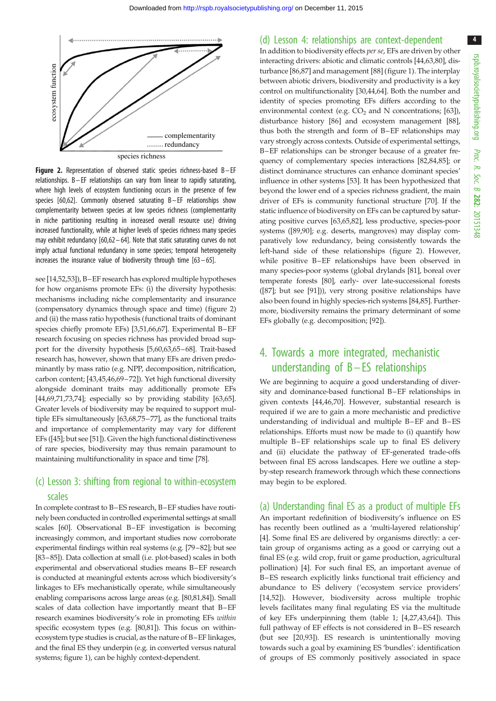

**Figure 2.** Representation of observed static species richness-based  $B - EF$ relationships. B– EF relationships can vary from linear to rapidly saturating, where high levels of ecosystem functioning occurs in the presence of few species [\[60,62](#page-8-0)]. Commonly observed saturating B– EF relationships show complementarity between species at low species richness (complementarity in niche partitioning resulting in increased overall resource use) driving increased functionality, while at higher levels of species richness many species may exhibit redundancy [\[60,62](#page-8-0) – [64\]](#page-9-0). Note that static saturating curves do not imply actual functional redundancy in some species; temporal heterogeneity increases the insurance value of biodiversity through time  $[63 - 65]$  $[63 - 65]$  $[63 - 65]$  $[63 - 65]$ .

see [[14,](#page-7-0)[52,53\]](#page-8-0)), B–EF research has explored multiple hypotheses for how organisms promote EFs: (i) the diversity hypothesis: mechanisms including niche complementarity and insurance (compensatory dynamics through space and time) (figure 2) and (ii) the mass ratio hypothesis (functional traits of dominant species chiefly promote EFs) [\[3](#page-7-0)[,51](#page-8-0)[,66,67](#page-9-0)]. Experimental B–EF research focusing on species richness has provided broad support for the diversity hypothesis [\[5](#page-7-0),[60](#page-8-0),[63](#page-8-0),[65](#page-9-0)–[68](#page-9-0)]. Trait-based research has, however, shown that many EFs are driven predominantly by mass ratio (e.g. NPP, decomposition, nitrification, carbon content; [[43,45,46,](#page-8-0)[69](#page-9-0)–[72\]](#page-9-0)). Yet high functional diversity alongside dominant traits may additionally promote EFs [\[44](#page-8-0)[,69,71,73,74](#page-9-0)]; especially so by providing stability [[63](#page-8-0),[65](#page-9-0)]. Greater levels of biodiversity may be required to support multiple EFs simultaneously [\[63](#page-8-0)[,68,75](#page-9-0)–[77](#page-9-0)], as the functional traits and importance of complementarity may vary for different EFs ([[45\]](#page-8-0); but see [\[51](#page-8-0)]). Given the high functional distinctiveness of rare species, biodiversity may thus remain paramount to maintaining multifunctionality in space and time [[78](#page-9-0)].

## (c) Lesson 3: shifting from regional to within-ecosystem scales

In complete contrast to B–ES research, B–EF studies have routinely been conducted in controlled experimental settings at small scales [\[60\]](#page-8-0). Observational B–EF investigation is becoming increasingly common, and important studies now corroborate experimental findings within real systems (e.g. [\[79](#page-9-0)–[82](#page-9-0)]; but see [\[83](#page-9-0)–[85\]](#page-9-0)). Data collection at small (i.e. plot-based) scales in both experimental and observational studies means B–EF research is conducted at meaningful extents across which biodiversity's linkages to EFs mechanistically operate, while simultaneously enabling comparisons across large areas (e.g. [\[80,81,84](#page-9-0)]). Small scales of data collection have importantly meant that B–EF research examines biodiversity's role in promoting EFs within specific ecosystem types (e.g. [\[80,81\]](#page-9-0)). This focus on withinecosystem type studies is crucial, as the nature of B–EF linkages, and the final ES they underpin (e.g. in converted versus natural systems; [figure 1\)](#page-1-0), can be highly context-dependent.

#### (d) Lesson 4: relationships are context-dependent

In addition to biodiversity effects per se, EFs are driven by other interacting drivers: abiotic and climatic controls [\[44,63](#page-8-0)[,80](#page-9-0)], disturbance [[86](#page-9-0),[87\]](#page-9-0) and management [\[88](#page-9-0)] [\(figure 1](#page-1-0)). The interplay between abiotic drivers, biodiversity and productivity is a key control on multifunctionality [\[30,44](#page-8-0)[,64](#page-9-0)]. Both the number and identity of species promoting EFs differs according to the environmental context (e.g.  $CO<sub>2</sub>$  and N concentrations; [[63\]](#page-8-0)), disturbance history [[86\]](#page-9-0) and ecosystem management [[88\]](#page-9-0), thus both the strength and form of B–EF relationships may vary strongly across contexts. Outside of experimental settings, B–EF relationships can be stronger because of a greater frequency of complementary species interactions [\[82,84,85](#page-9-0)]; or distinct dominance structures can enhance dominant species' influence in other systems [[53\]](#page-8-0). It has been hypothesized that beyond the lower end of a species richness gradient, the main driver of EFs is community functional structure [[70\]](#page-9-0). If the static influence of biodiversity on EFs can be captured by saturating positive curves [[63,](#page-8-0)[65,82](#page-9-0)], less productive, species-poor systems ([[89](#page-9-0),[90\]](#page-9-0); e.g. deserts, mangroves) may display comparatively low redundancy, being consistently towards the left-hand side of these relationships (figure 2). However, while positive B–EF relationships have been observed in many species-poor systems (global drylands [\[81\]](#page-9-0), boreal over temperate forests [\[80](#page-9-0)], early- over late-successional forests ([[87](#page-9-0)]; but see [[91\]](#page-9-0))), very strong positive relationships have also been found in highly species-rich systems [[84,85\]](#page-9-0). Furthermore, biodiversity remains the primary determinant of some EFs globally (e.g. decomposition; [[92](#page-9-0)]).

## 4. Towards a more integrated, mechanistic understanding of  $B$  – ES relationships

We are beginning to acquire a good understanding of diversity and dominance-based functional B –EF relationships in given contexts [[44,46](#page-8-0)[,70](#page-9-0)]. However, substantial research is required if we are to gain a more mechanistic and predictive understanding of individual and multiple B-EF and B-ES relationships. Efforts must now be made to (i) quantify how multiple B-EF relationships scale up to final ES delivery and (ii) elucidate the pathway of EF-generated trade-offs between final ES across landscapes. Here we outline a stepby-step research framework through which these connections may begin to be explored.

#### (a) Understanding final ES as a product of multiple EFs

An important redefinition of biodiversity's influence on ES has recently been outlined as a 'multi-layered relationship' [[4](#page-7-0)]. Some final ES are delivered by organisms directly: a certain group of organisms acting as a good or carrying out a final ES (e.g. wild crop, fruit or game production, agricultural pollination) [\[4\]](#page-7-0). For such final ES, an important avenue of B –ES research explicitly links functional trait efficiency and abundance to ES delivery ('ecosystem service providers' [[14,](#page-7-0)[52\]](#page-8-0)). However, biodiversity across multiple trophic levels facilitates many final regulating ES via the multitude of key EFs underpinning them [\(table 1](#page-4-0); [\[4,](#page-7-0)[27,43](#page-8-0)[,64](#page-9-0)]). This full pathway of EF effects is not considered in B-ES research (but see [\[20](#page-8-0)[,93](#page-9-0)]). ES research is unintentionally moving towards such a goal by examining ES 'bundles': identification of groups of ES commonly positively associated in space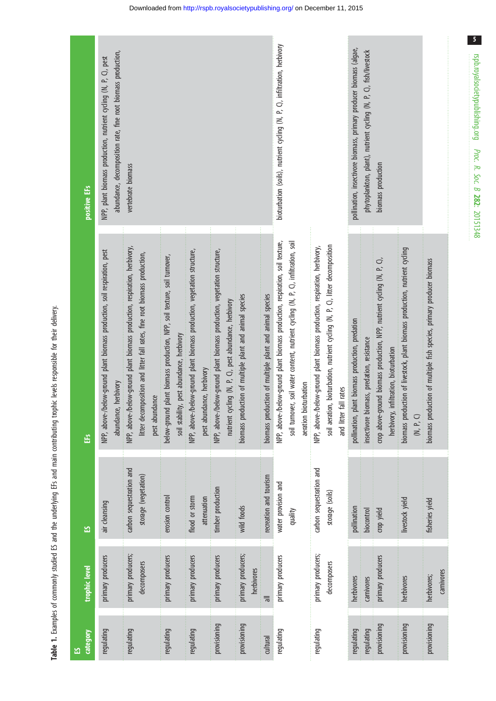<span id="page-4-0"></span>

|                                                                                                                                                                                                                                |          | positive EF <sub>S</sub> | abundance, decomposition rate, fine root biomass production,<br>NPP, plant biomass production, nutrient cycling (N, P, C), pest<br>vertebrate biomass |                                                                                                                                                                           |                                                                                                                       |                                                                                                       |                                                                                                                                   |                                                         |                                                         | bioturbation (soils), nutrient cycling (N, P, C), infiltration, herbivory                                                                                                                   |                                                                                                                                                                                         |                                                  | phytoplankton, plant), nutrient cycling (N, P, C), fish/livestock |                                                                                                                    |                                                                                          |                                                                       |
|--------------------------------------------------------------------------------------------------------------------------------------------------------------------------------------------------------------------------------|----------|--------------------------|-------------------------------------------------------------------------------------------------------------------------------------------------------|---------------------------------------------------------------------------------------------------------------------------------------------------------------------------|-----------------------------------------------------------------------------------------------------------------------|-------------------------------------------------------------------------------------------------------|-----------------------------------------------------------------------------------------------------------------------------------|---------------------------------------------------------|---------------------------------------------------------|---------------------------------------------------------------------------------------------------------------------------------------------------------------------------------------------|-----------------------------------------------------------------------------------------------------------------------------------------------------------------------------------------|--------------------------------------------------|-------------------------------------------------------------------|--------------------------------------------------------------------------------------------------------------------|------------------------------------------------------------------------------------------|-----------------------------------------------------------------------|
| on the content of the content of the content of the content of the content of the content of the content of the content of the content of the content of the content of the content of the content of the content of the conte |          | EFs                      | NPP, above-/below-ground plant biomass production, soil respiration, pest<br>abundance, herbivory                                                     | NPP, above-/below-ground plant biomass production, respiration, herbivory,<br>litter decomposition and litter fall rates, fine root biomass production,<br>pest abundance | below-ground plant biomass production, NPP, soil texture, soil turnover,<br>soil stability, pest abundance, herbivory | NPP, above-/below-ground plant biomass production, vegetation structure,<br>pest abundance, herbivory | NPP, above-/below-ground plant biomass production, vegetation structure,<br>nutrient cycling (N, P, C), pest abundance, herbivory | biomass production of multiple plant and animal species | biomass production of multiple plant and animal species | NPP, above-/below-ground plant biomass production, respiration, soil texture,<br>soil turnover, soil water content, nutrient cycling (N, P, C), infiltration, soil<br>aeration bioturbation | soil aeration, bioturbation, nutrient cycling (N, P, C), litter decomposition<br>NPP, above-/below-ground plant biomass production, respiration, herbivory,<br>fall rates<br>and litter | pollination, plant biomass production, predation | insectivore biomass, predation, resistance                        | crop above-ground biomass production, NPP, nutrient cycling (N, P, C),<br>infiltration, bioturbation<br>herbivory, | biomass production of livestock, plant biomass production, nutrient cycling<br>(N, P, C) | biomass production of multiple fish species, primary producer biomass |
|                                                                                                                                                                                                                                |          | က္က                      | air cleansing                                                                                                                                         | carbon sequestration and<br>storage (vegetation)                                                                                                                          | erosion control                                                                                                       | flood or storm<br>attenuation                                                                         | timber production                                                                                                                 | wild foods                                              | recreation and tourism                                  | water provision and<br>quality                                                                                                                                                              | carbon sequestration and<br>storage (soils)                                                                                                                                             | pollination                                      | biocontrol                                                        | crop yield                                                                                                         | livestock yield                                                                          | fisheries yield                                                       |
|                                                                                                                                                                                                                                |          | trophic level            | primary producers                                                                                                                                     | primary producers;<br>decomposers                                                                                                                                         | primary producers                                                                                                     | primary producers                                                                                     | primary producers                                                                                                                 | primary producers;<br>herbivores                        | $\equiv$                                                | primary producers                                                                                                                                                                           | primary producers;<br>decomposers                                                                                                                                                       | herbivores                                       | carnivores                                                        | primary producers                                                                                                  | herbivores                                                                               | carnivores<br>herbivores;                                             |
|                                                                                                                                                                                                                                | <u>ង</u> | <b>Category</b>          | regulating                                                                                                                                            | regulating                                                                                                                                                                | regulating                                                                                                            | regulating                                                                                            | provisioning                                                                                                                      | provisioning                                            | cultural                                                | regulating                                                                                                                                                                                  | regulating                                                                                                                                                                              | regulating                                       | regulating                                                        | provisioning                                                                                                       | provisioning                                                                             | provisioning                                                          |

Table 1. Examples of commonly studied ES and the underlying EFs and main contributing trophic levels responsible for their delivery. Table 1. Examples of commonly studied ES and the underlying EFs and main contributing trophic levels responsible for their delivery.  $\sqrt{5}$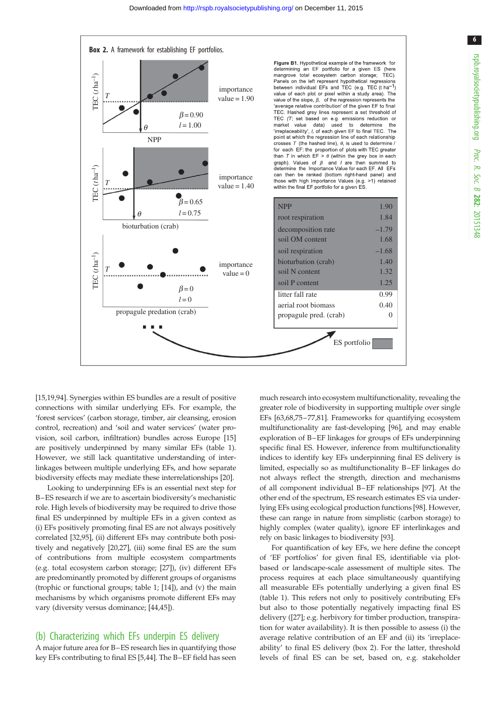

[\[15](#page-7-0)[,19](#page-8-0),[94](#page-9-0)]. Synergies within ES bundles are a result of positive connections with similar underlying EFs. For example, the 'forest services' (carbon storage, timber, air cleansing, erosion control, recreation) and 'soil and water services' (water provision, soil carbon, infiltration) bundles across Europe [[15\]](#page-7-0) are positively underpinned by many similar EFs ([table 1](#page-4-0)). However, we still lack quantitative understanding of interlinkages between multiple underlying EFs, and how separate biodiversity effects may mediate these interrelationships [\[20](#page-8-0)].

Looking to underpinning EFs is an essential next step for B–ES research if we are to ascertain biodiversity's mechanistic role. High levels of biodiversity may be required to drive those final ES underpinned by multiple EFs in a given context as (i) EFs positively promoting final ES are not always positively correlated [[32](#page-8-0)[,95](#page-9-0)], (ii) different EFs may contribute both positively and negatively [\[20,27](#page-8-0)], (iii) some final ES are the sum of contributions from multiple ecosystem compartments (e.g. total ecosystem carbon storage; [[27\]](#page-8-0)), (iv) different EFs are predominantly promoted by different groups of organisms (trophic or functional groups; [table 1;](#page-4-0) [[14\]](#page-7-0)), and (v) the main mechanisms by which organisms promote different EFs may vary (diversity versus dominance; [[44,45](#page-8-0)]).

#### (b) Characterizing which EFs underpin ES delivery

A major future area for B–ES research lies in quantifying those key EFs contributing to final ES [\[5,](#page-7-0)[44](#page-8-0)]. The B–EF field has seen much research into ecosystem multifunctionality, revealing the greater role of biodiversity in supporting multiple over single EFs [\[63](#page-8-0)[,68,75](#page-9-0)–[77](#page-9-0),[81](#page-9-0)]. Frameworks for quantifying ecosystem multifunctionality are fast-developing [\[96](#page-9-0)], and may enable exploration of B–EF linkages for groups of EFs underpinning specific final ES. However, inference from multifunctionality indices to identify key EFs underpinning final ES delivery is limited, especially so as multifunctionality B–EF linkages do not always reflect the strength, direction and mechanisms of all component individual B–EF relationships [[97\]](#page-9-0). At the other end of the spectrum, ES research estimates ES via underlying EFs using ecological production functions [[98\]](#page-9-0). However, these can range in nature from simplistic (carbon storage) to highly complex (water quality), ignore EF interlinkages and rely on basic linkages to biodiversity [\[93](#page-9-0)].

For quantification of key EFs, we here define the concept of 'EF portfolios' for given final ES, identifiable via plotbased or landscape-scale assessment of multiple sites. The process requires at each place simultaneously quantifying all measurable EFs potentially underlying a given final ES ([table 1\)](#page-4-0). This refers not only to positively contributing EFs but also to those potentially negatively impacting final ES delivery ([\[27](#page-8-0)]; e.g. herbivory for timber production, transpiration for water availability). It is then possible to assess (i) the average relative contribution of an EF and (ii) its 'irreplaceability' to final ES delivery (box 2). For the latter, threshold levels of final ES can be set, based on, e.g. stakeholder

6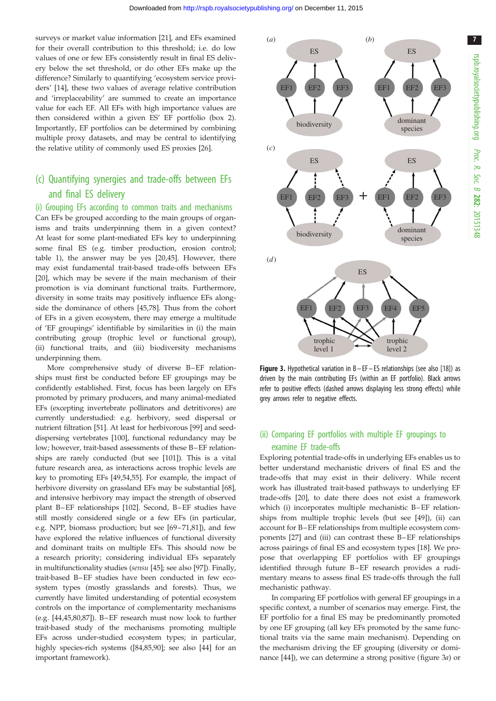<span id="page-6-0"></span>surveys or market value information [\[21](#page-8-0)], and EFs examined for their overall contribution to this threshold; i.e. do low values of one or few EFs consistently result in final ES delivery below the set threshold, or do other EFs make up the difference? Similarly to quantifying 'ecosystem service providers' [\[14](#page-7-0)], these two values of average relative contribution and 'irreplaceability' are summed to create an importance value for each EF. All EFs with high importance values are then considered within a given ES' EF portfolio (box 2). Importantly, EF portfolios can be determined by combining multiple proxy datasets, and may be central to identifying the relative utility of commonly used ES proxies [\[26](#page-8-0)].

## (c) Quantifying synergies and trade-offs between EFs and final ES delivery

#### (i) Grouping EFs according to common traits and mechanisms

Can EFs be grouped according to the main groups of organisms and traits underpinning them in a given context? At least for some plant-mediated EFs key to underpinning some final ES (e.g. timber production, erosion control; [table 1](#page-4-0)), the answer may be yes [[20,45\]](#page-8-0). However, there may exist fundamental trait-based trade-offs between EFs [\[20](#page-8-0)], which may be severe if the main mechanism of their promotion is via dominant functional traits. Furthermore, diversity in some traits may positively influence EFs alongside the dominance of others [[45](#page-8-0),[78\]](#page-9-0). Thus from the cohort of EFs in a given ecosystem, there may emerge a multitude of 'EF groupings' identifiable by similarities in (i) the main contributing group (trophic level or functional group), (ii) functional traits, and (iii) biodiversity mechanisms underpinning them.

More comprehensive study of diverse B–EF relationships must first be conducted before EF groupings may be confidently established. First, focus has been largely on EFs promoted by primary producers, and many animal-mediated EFs (excepting invertebrate pollinators and detritivores) are currently understudied: e.g. herbivory, seed dispersal or nutrient filtration [[51](#page-8-0)]. At least for herbivorous [\[99](#page-9-0)] and seeddispersing vertebrates [[100\]](#page-9-0), functional redundancy may be low; however, trait-based assessments of these B–EF relationships are rarely conducted (but see [\[101\]](#page-9-0)). This is a vital future research area, as interactions across trophic levels are key to promoting EFs [[49,54,55](#page-8-0)]. For example, the impact of herbivore diversity on grassland EFs may be substantial [\[68](#page-9-0)], and intensive herbivory may impact the strength of observed plant B–EF relationships [\[102](#page-9-0)]. Second, B–EF studies have still mostly considered single or a few EFs (in particular, e.g. NPP, biomass production; but see [[69](#page-9-0)–[71,81\]](#page-9-0)), and few have explored the relative influences of functional diversity and dominant traits on multiple EFs. This should now be a research priority; considering individual EFs separately in multifunctionality studies (sensu [[45](#page-8-0)]; see also [\[97](#page-9-0)]). Finally, trait-based B–EF studies have been conducted in few ecosystem types (mostly grasslands and forests). Thus, we currently have limited understanding of potential ecosystem controls on the importance of complementarity mechanisms (e.g. [\[44,45](#page-8-0),[80](#page-9-0),[87\]](#page-9-0)). B–EF research must now look to further trait-based study of the mechanisms promoting multiple EFs across under-studied ecosystem types; in particular, highly species-rich systems ([\[84,85,90](#page-9-0)]; see also [\[44](#page-8-0)] for an important framework).



Figure 3. Hypothetical variation in B-EF-ES relationships (see also [\[18\]](#page-8-0)) as driven by the main contributing EFs (within an EF portfolio). Black arrows refer to positive effects (dashed arrows displaying less strong effects) while grey arrows refer to negative effects.

### (ii) Comparing EF portfolios with multiple EF groupings to examine EF trade-offs

Exploring potential trade-offs in underlying EFs enables us to better understand mechanistic drivers of final ES and the trade-offs that may exist in their delivery. While recent work has illustrated trait-based pathways to underlying EF trade-offs [\[20](#page-8-0)], to date there does not exist a framework which (i) incorporates multiple mechanistic B-EF relationships from multiple trophic levels (but see [\[49](#page-8-0)]), (ii) can account for B–EF relationships from multiple ecosystem components [[27\]](#page-8-0) and (iii) can contrast these B–EF relationships across pairings of final ES and ecosystem types [\[18](#page-8-0)]. We propose that overlapping EF portfolios with EF groupings identified through future B-EF research provides a rudimentary means to assess final ES trade-offs through the full mechanistic pathway.

In comparing EF portfolios with general EF groupings in a specific context, a number of scenarios may emerge. First, the EF portfolio for a final ES may be predominantly promoted by one EF grouping (all key EFs promoted by the same functional traits via the same main mechanism). Depending on the mechanism driving the EF grouping (diversity or dominance [\[44](#page-8-0)]), we can determine a strong positive (figure 3a) or 7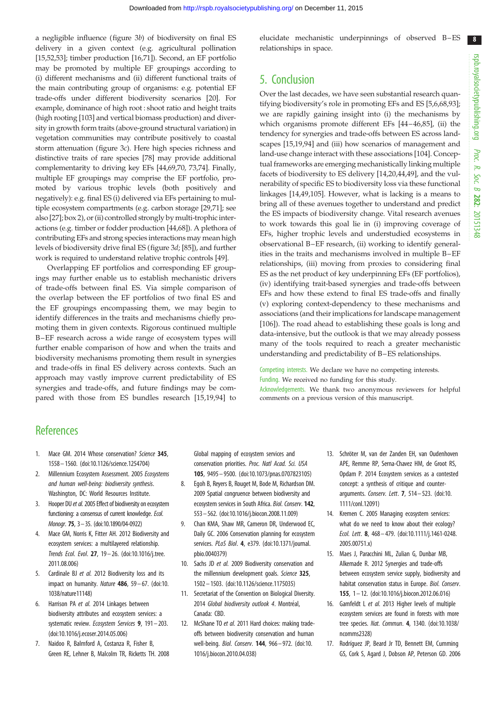<span id="page-7-0"></span>a negligible influence ([figure 3](#page-6-0)b) of biodiversity on final ES delivery in a given context (e.g. agricultural pollination [15[,52,53](#page-8-0)]; timber production [16,[71\]](#page-9-0)). Second, an EF portfolio may be promoted by multiple EF groupings according to (i) different mechanisms and (ii) different functional traits of the main contributing group of organisms: e.g. potential EF trade-offs under different biodiversity scenarios [\[20](#page-8-0)]. For example, dominance of high root : shoot ratio and height traits (high rooting [[103\]](#page-9-0) and vertical biomass production) and diversity in growth form traits (above-ground structural variation) in vegetation communities may contribute positively to coastal storm attenuation ([figure 3](#page-6-0)c). Here high species richness and distinctive traits of rare species [[78](#page-9-0)] may provide additional complementarity to driving key EFs [[44,](#page-8-0)[69,70](#page-9-0), [73,74\]](#page-9-0). Finally, multiple EF groupings may comprise the EF portfolio, promoted by various trophic levels (both positively and negatively): e.g. final ES (i) delivered via EFs pertaining to multiple ecosystem compartments (e.g. carbon storage [\[29,](#page-8-0)[71\]](#page-9-0); see also [\[27\]](#page-8-0); box 2), or (ii) controlled strongly by multi-trophic interactions (e.g. timber or fodder production [\[44,](#page-8-0)[68\]](#page-9-0)). A plethora of contributing EFs and strong species interactions may mean high levels of biodiversity drive final ES ([figure 3](#page-6-0)d; [\[85\]](#page-9-0)), and further work is required to understand relative trophic controls [\[49\]](#page-8-0).

Overlapping EF portfolios and corresponding EF groupings may further enable us to establish mechanistic drivers of trade-offs between final ES. Via simple comparison of the overlap between the EF portfolios of two final ES and the EF groupings encompassing them, we may begin to identify differences in the traits and mechanisms chiefly promoting them in given contexts. Rigorous continued multiple B –EF research across a wide range of ecosystem types will further enable comparison of how and when the traits and biodiversity mechanisms promoting them result in synergies and trade-offs in final ES delivery across contexts. Such an approach may vastly improve current predictability of ES synergies and trade-offs, and future findings may be compared with those from ES bundles research [15[,19](#page-8-0),[94\]](#page-9-0) to

elucidate mechanistic underpinnings of observed B-ES relationships in space.

## 5. Conclusion

Over the last decades, we have seen substantial research quantifying biodiversity's role in promoting EFs and ES [5,6,[68,93\]](#page-9-0); we are rapidly gaining insight into (i) the mechanisms by which organisms promote different EFs [\[44](#page-8-0)–[46](#page-8-0)[,85](#page-9-0)], (ii) the tendency for synergies and trade-offs between ES across landscapes [15[,19](#page-8-0)[,94](#page-9-0)] and (iii) how scenarios of management and land-use change interact with these associations [\[104](#page-9-0)]. Conceptual frameworks are emerging mechanistically linking multiple facets of biodiversity to ES delivery [14[,20,44](#page-8-0),[49](#page-8-0)], and the vulnerability of specific ES to biodiversity loss via these functional linkages [14[,49](#page-8-0)[,105\]](#page-9-0). However, what is lacking is a means to bring all of these avenues together to understand and predict the ES impacts of biodiversity change. Vital research avenues to work towards this goal lie in (i) improving coverage of EFs, higher trophic levels and understudied ecosystems in observational B–EF research, (ii) working to identify generalities in the traits and mechanisms involved in multiple B–EF relationships, (iii) moving from proxies to considering final ES as the net product of key underpinning EFs (EF portfolios), (iv) identifying trait-based synergies and trade-offs between EFs and how these extend to final ES trade-offs and finally (v) exploring context-dependency to these mechanisms and associations (and their implications for landscape management [[106](#page-9-0)]). The road ahead to establishing these goals is long and data-intensive, but the outlook is that we may already possess many of the tools required to reach a greater mechanistic understanding and predictability of B–ES relationships.

Competing interests. We declare we have no competing interests. Funding. We received no funding for this study.

Acknowledgements. We thank two anonymous reviewers for helpful comments on a previous version of this manuscript.

## **References**

- 1. Mace GM, 2014 Whose conservation? Science 345. 1558 – 1560. [\(doi:10.1126/science.1254704](http://dx.doi.org/10.1126/science.1254704))
- 2. Millennium Ecosystem Assessment. 2005 Ecosystems and human well-being: biodiversity synthesis. Washington, DC: World Resources Institute.
- 3. Hooper DU et al. 2005 Effect of biodiversity on ecosystem functioning: a consensus of current knowledge. Ecol. Monogr. 75, 3–35. ([doi:10.1890/04-0922](http://dx.doi.org/10.1890/04-0922))
- 4. Mace GM, Norris K, Fitter AH. 2012 Biodiversity and ecosystem services: a multilayered relationship. Trends Ecol. Evol. 27, 19 – 26. ([doi:10.1016/j.tree.](http://dx.doi.org/10.1016/j.tree.2011.08.006) [2011.08.006\)](http://dx.doi.org/10.1016/j.tree.2011.08.006)
- 5. Cardinale BJ et al. 2012 Biodiversity loss and its impact on humanity. Nature  $486$ ,  $59-67$ . ([doi:10.](http://dx.doi.org/10.1038/nature11148) [1038/nature11148](http://dx.doi.org/10.1038/nature11148))
- 6. Harrison PA et al. 2014 Linkages between biodiversity attributes and ecosystem services: a systematic review. Ecosystem Services 9, 191 – 203. [\(doi:10.1016/j.ecoser.2014.05.006\)](http://dx.doi.org/10.1016/j.ecoser.2014.05.006)
- 7. Naidoo R, Balmford A, Costanza R, Fisher B, Green RE, Lehner B, Malcolm TR, Ricketts TH. 2008

Global mapping of ecosystem services and conservation priorities. Proc. Natl Acad. Sci. USA 105, 9495 – 9500. [\(doi:10.1073/pnas.0707823105\)](http://dx.doi.org/10.1073/pnas.0707823105)

- 8. Egoh B, Reyers B, Rouget M, Bode M, Richardson DM. 2009 Spatial congruence between biodiversity and ecosystem services in South Africa. Biol. Conserv. 142, 553– 562. [\(doi:10.1016/j.biocon.2008.11.009](http://dx.doi.org/10.1016/j.biocon.2008.11.009))
- 9. Chan KMA, Shaw MR, Cameron DR, Underwood EC, Daily GC. 2006 Conservation planning for ecosystem services. PLoS Biol. 4, e379. [\(doi:10.1371/journal.](http://dx.doi.org/10.1371/journal.pbio.0040379) [pbio.0040379](http://dx.doi.org/10.1371/journal.pbio.0040379))
- 10. Sachs JD et al. 2009 Biodiversity conservation and the millennium development goals. Science 325, 1502– 1503. [\(doi:10.1126/science.1175035](http://dx.doi.org/10.1126/science.1175035))
- 11. Secretariat of the Convention on Biological Diversity. 2014 Global biodiversity outlook 4. Montréal, Canada: CBD.
- 12. McShane TO et al. 2011 Hard choices: making tradeoffs between biodiversity conservation and human well-being. Biol. Conserv. 144, 966– 972. [\(doi:10.](http://dx.doi.org/10.1016/j.biocon.2010.04.038) [1016/j.biocon.2010.04.038\)](http://dx.doi.org/10.1016/j.biocon.2010.04.038)
- 13. Schröter M, van der Zanden EH, van Oudenhoven APE, Remme RP, Serna-Chavez HM, de Groot RS, Opdam P. 2014 Ecosystem services as a contested concept: a synthesis of critique and counterarguments. Conserv. Lett. 7, 514– 523. ([doi:10.](http://dx.doi.org/10.1111/conl.12091) [1111/conl.12091](http://dx.doi.org/10.1111/conl.12091))
- 14. Kremen C. 2005 Managing ecosystem services: what do we need to know about their ecology? Ecol. Lett. 8, 468– 479. ([doi:10.1111/j.1461-0248.](http://dx.doi.org/10.1111/j.1461-0248.2005.00751.x) [2005.00751.x](http://dx.doi.org/10.1111/j.1461-0248.2005.00751.x))
- 15. Maes J, Paracchini ML, Zulian G, Dunbar MB, Alkemade R. 2012 Synergies and trade-offs between ecosystem service supply, biodiversity and habitat conservation status in Europe. Biol. Conserv. 155, 1– 12. [\(doi:10.1016/j.biocon.2012.06.016](http://dx.doi.org/10.1016/j.biocon.2012.06.016))
- 16. Gamfeldt L et al. 2013 Higher levels of multiple ecosystem services are found in forests with more tree species. Nat. Commun. 4, 1340. [\(doi:10.1038/](http://dx.doi.org/10.1038/ncomms2328) [ncomms2328](http://dx.doi.org/10.1038/ncomms2328))
- 17. Rodríguez JP, Beard Jr TD, Bennett EM, Cumming GS, Cork S, Agard J, Dobson AP, Peterson GD. 2006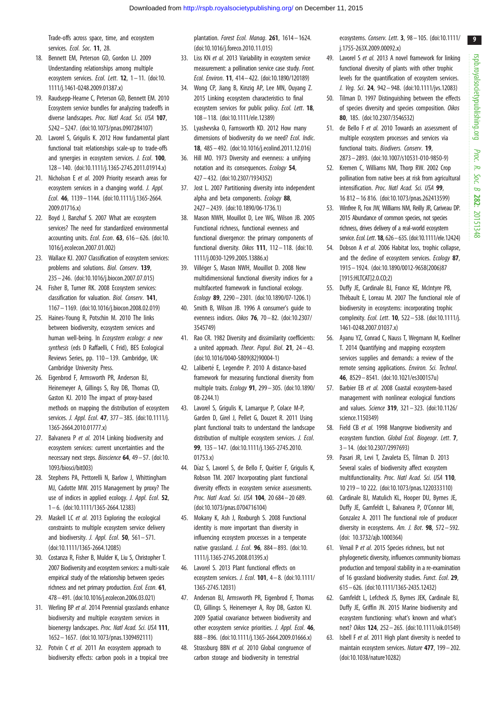<span id="page-8-0"></span>Trade-offs across space, time, and ecosystem services. Ecol. Soc. 11, 28.

- 18. Bennett EM, Peterson GD, Gordon LJ. 2009 Understanding relationships among multiple ecosystem services. Ecol. Lett. 12, 1-11. ([doi:10.](http://dx.doi.org/10.1111/j.1461-0248.2009.01387.x) [1111/j.1461-0248.2009.01387.x](http://dx.doi.org/10.1111/j.1461-0248.2009.01387.x))
- 19. Raudsepp-Hearne C, Peterson GD, Bennett EM. 2010 Ecosystem service bundles for analyzing tradeoffs in diverse landscapes. Proc. Natl Acad. Sci. USA 107, 5242 – 5247. [\(doi:10.1073/pnas.0907284107](http://dx.doi.org/10.1073/pnas.0907284107))
- 20. Lavorel S, Grigulis K. 2012 How fundamental plant functional trait relationships scale-up to trade-offs and synergies in ecosystem services. J. Ecol. 100, 128– 140. ([doi:10.1111/j.1365-2745.2011.01914.x](http://dx.doi.org/10.1111/j.1365-2745.2011.01914.x))
- 21. Nicholson E et al. 2009 Priority research areas for ecosystem services in a changing world. J. Appl. Ecol. 46, 1139– 1144. ([doi:10.1111/j.1365-2664.](http://dx.doi.org/10.1111/j.1365-2664.2009.01716.x) [2009.01716.x\)](http://dx.doi.org/10.1111/j.1365-2664.2009.01716.x)
- 22. Boyd J, Banzhaf S. 2007 What are ecosystem services? The need for standardized environmental accounting units. Ecol. Econ.  $63$ ,  $616 - 626$ . ([doi:10.](http://dx.doi.org/10.1016/j.ecolecon.2007.01.002) [1016/j.ecolecon.2007.01.002](http://dx.doi.org/10.1016/j.ecolecon.2007.01.002))
- 23. Wallace KJ. 2007 Classification of ecosystem services: problems and solutions. Biol. Conserv. 139, 235– 246. ([doi:10.1016/j.biocon.2007.07.015\)](http://dx.doi.org/10.1016/j.biocon.2007.07.015)
- 24. Fisher B, Turner RK. 2008 Ecosystem services: classification for valuation. Biol. Conserv. 141, 1167 – 1169. [\(doi:10.1016/j.biocon.2008.02.019\)](http://dx.doi.org/10.1016/j.biocon.2008.02.019)
- 25. Haines-Young R, Potschin M. 2010 The links between biodiversity, ecosystem services and human well-being. In Ecosystem ecology: a new synthesis (eds D Raffaelli, C Frid), BES Ecological Reviews Series, pp. 110– 139. Cambridge, UK: Cambridge University Press.
- 26. Eigenbrod F, Armsworth PR, Anderson BJ, Heinemeyer A, Gillings S, Roy DB, Thomas CD, Gaston KJ. 2010 The impact of proxy-based methods on mapping the distribution of ecosystem services. *J. Appl. Ecol.* **47**, 377 - 385. [\(doi:10.1111/j.](http://dx.doi.org/10.1111/j.1365-2664.2010.01777.x) [1365-2664.2010.01777.x\)](http://dx.doi.org/10.1111/j.1365-2664.2010.01777.x)
- 27. Balvanera P et al. 2014 Linking biodiversity and ecosystem services: current uncertainties and the necessary next steps. Bioscience 64, 49 – 57. ([doi:10.](http://dx.doi.org/10.1093/biosci/bit003) [1093/biosci/bit003](http://dx.doi.org/10.1093/biosci/bit003))
- 28. Stephens PA, Pettorelli N, Barlow J, Whittingham MJ, Cadotte MW. 2015 Management by proxy? The use of indices in applied ecology. J. Appl. Ecol. 52, 1– 6. [\(doi:10.1111/1365-2664.12383\)](http://dx.doi.org/10.1111/1365-2664.12383)
- 29. Maskell LC et al. 2013 Exploring the ecological constraints to multiple ecosystem service delivery and biodiversity. *J. Appl. Ecol.* 50, 561 $-571$ . [\(doi:10.1111/1365-2664.12085\)](http://dx.doi.org/10.1111/1365-2664.12085)
- 30. Costanza R, Fisher B, Mulder K, Liu S, Christopher T. 2007 Biodiversity and ecosystem services: a multi-scale empirical study of the relationship between species richness and net primary production. Ecol. Econ. 61, 478–491. [\(doi:10.1016/j.ecolecon.2006.03.021\)](http://dx.doi.org/10.1016/j.ecolecon.2006.03.021)
- 31. Werling BP et al. 2014 Perennial grasslands enhance biodiversity and multiple ecosystem services in bioenergy landscapes. Proc. Natl Acad. Sci. USA 111, 1652 – 1657. [\(doi:10.1073/pnas.1309492111](http://dx.doi.org/10.1073/pnas.1309492111))
- 32. Potvin C et al. 2011 An ecosystem approach to biodiversity effects: carbon pools in a tropical tree

plantation. Forest Ecol. Manag. 261, 1614 – 1624. [\(doi:10.1016/j.foreco.2010.11.015](http://dx.doi.org/10.1016/j.foreco.2010.11.015))

- 33. Liss KN et al. 2013 Variability in ecosystem service measurement: a pollination service case study. Front. Ecol. Environ. 11, 414– 422. [\(doi:10.1890/120189](http://dx.doi.org/10.1890/120189))
- 34. Wong CP, Jiang B, Kinzig AP, Lee MN, Ouyang Z. 2015 Linking ecosystem characteristics to final ecosystem services for public policy. Ecol. Lett. 18, 108 – 118. [\(doi:10.1111/ele.12389\)](http://dx.doi.org/10.1111/ele.12389)
- 35. Lyashevska O, Farnsworth KD. 2012 How many dimensions of biodiversity do we need? Ecol. Indic. 18, 485– 492. ([doi:10.1016/j.ecolind.2011.12.016](http://dx.doi.org/10.1016/j.ecolind.2011.12.016))
- 36. Hill MO. 1973 Diversity and evenness: a unifying notation and its consequences. Ecology 54, 427 – 432. [\(doi:10.2307/1934352\)](http://dx.doi.org/10.2307/1934352)
- 37. Jost L. 2007 Partitioning diversity into independent alpha and beta components. Ecology 88, 2427– 2439. [\(doi:10.1890/06-1736.1](http://dx.doi.org/10.1890/06-1736.1))
- 38. Mason NWH, Mouillot D, Lee WG, Wilson JB. 2005 Functional richness, functional evenness and functional divergence: the primary components of functional diversity. Oikos 111, 112-118. [\(doi:10.](http://dx.doi.org/10.1111/j.0030-1299.2005.13886.x) [1111/j.0030-1299.2005.13886.x](http://dx.doi.org/10.1111/j.0030-1299.2005.13886.x))
- 39. Villéger S, Mason NWH, Mouillot D. 2008 New multidimensional functional diversity indices for a multifaceted framework in functional ecology. Ecology 89, 2290 – 2301. [\(doi:10.1890/07-1206.1\)](http://dx.doi.org/10.1890/07-1206.1)
- 40. Smith B, Wilson JB. 1996 A consumer's guide to evenness indices. Oikos 76, 70 – 82. ([doi:10.2307/](http://dx.doi.org/10.2307/3545749) [3545749\)](http://dx.doi.org/10.2307/3545749)
- 41. Rao CR. 1982 Diversity and dissimilarity coefficients: a united approach. Theor. Popul. Biol.  $21$ ,  $24 - 43$ . [\(doi:10.1016/0040-5809\(82\)90004-1](http://dx.doi.org/10.1016/0040-5809(82)90004-1))
- 42. Laliberté E, Legendre P. 2010 A distance-based framework for measuring functional diversity from multiple traits. Ecology 91, 299– 305. [\(doi:10.1890/](http://dx.doi.org/10.1890/08-2244.1) [08-2244.1\)](http://dx.doi.org/10.1890/08-2244.1)
- 43. Lavorel S, Grigulis K, Lamargue P, Colace M-P, Garden D, Girel J, Pellet G, Douzet R. 2011 Using plant functional traits to understand the landscape distribution of multiple ecosystem services. J. Ecol. 99, 135– 147. ([doi:10.1111/j.1365-2745.2010.](http://dx.doi.org/10.1111/j.1365-2745.2010.01753.x) [01753.x](http://dx.doi.org/10.1111/j.1365-2745.2010.01753.x))
- 44. Díaz S, Lavorel S, de Bello F, Quétier F, Grigulis K, Robson TM. 2007 Incorporating plant functional diversity effects in ecosystem service assessments. Proc. Natl Acad. Sci. USA 104, 20 684– 20 689. [\(doi:10.1073/pnas.0704716104](http://dx.doi.org/10.1073/pnas.0704716104))
- 45. Mokany K, Ash J, Roxburgh S. 2008 Functional identity is more important than diversity in influencing ecosystem processes in a temperate native grassland. *J. Ecol.* **96**, 884–893. ([doi:10.](http://dx.doi.org/10.1111/j.1365-2745.2008.01395.x) [1111/j.1365-2745.2008.01395.x](http://dx.doi.org/10.1111/j.1365-2745.2008.01395.x))
- 46. Lavorel S. 2013 Plant functional effects on ecosystem services. J. Ecol. 101, 4– 8. [\(doi:10.1111/](http://dx.doi.org/10.1111/1365-2745.12031) [1365-2745.12031\)](http://dx.doi.org/10.1111/1365-2745.12031)
- 47. Anderson BJ, Armsworth PR, Eigenbrod F, Thomas CD, Gillings S, Heinemeyer A, Roy DB, Gaston KJ. 2009 Spatial covariance between biodiversity and other ecosystem service priorities. J. Appl. Ecol. 46, 888 – 896. [\(doi:10.1111/j.1365-2664.2009.01666.x](http://dx.doi.org/10.1111/j.1365-2664.2009.01666.x))
- 48. Strassburg BBN et al. 2010 Global congruence of carbon storage and biodiversity in terrestrial

ecosystems. Conserv. Lett. 3, 98 – 105. [\(doi:10.1111/](http://dx.doi.org/10.1111/j.1755-263X.2009.00092.x) [j.1755-263X.2009.00092.x](http://dx.doi.org/10.1111/j.1755-263X.2009.00092.x))

- 49. Lavorel S et al. 2013 A novel framework for linking functional diversity of plants with other trophic levels for the quantification of ecosystem services. J. Veg. Sci. 24, 942– 948. ([doi:10.1111/jvs.12083](http://dx.doi.org/10.1111/jvs.12083))
- 50. Tilman D. 1997 Distinguishing between the effects of species diversity and species composition. Oikos 80, 185. ([doi:10.2307/3546532](http://dx.doi.org/10.2307/3546532))
- 51. de Bello F et al. 2010 Towards an assessment of multiple ecosystem processes and services via functional traits. Biodivers. Conserv. 19, 2873– 2893. ([doi:10.1007/s10531-010-9850-9](http://dx.doi.org/10.1007/s10531-010-9850-9))
- 52. Kremen C, Williams NM, Thorp RW. 2002 Crop pollination from native bees at risk from agricultural intensification. Proc. Natl Acad. Sci. USA 99, 16 812 – 16 816. [\(doi:10.1073/pnas.262413599\)](http://dx.doi.org/10.1073/pnas.262413599)
- 53. Winfree R, Fox JW, Williams NM, Reilly JR, Cariveau DP. 2015 Abundance of common species, not species richness, drives delivery of a real-world ecosystem service. Ecol. Lett. **18**, 626 - 635. [\(doi:10.1111/ele.12424](http://dx.doi.org/10.1111/ele.12424))
- 54. Dobson A et al. 2006 Habitat loss, trophic collapse, and the decline of ecosystem services. Ecology 87, 1915– 1924. ([doi:10.1890/0012-9658\(2006\)87](http://dx.doi.org/10.1890/0012-9658(2006)87[1915:HLTCAT]2.0.CO;2) [\[1915:HLTCAT\]2.0.CO;2\)](http://dx.doi.org/10.1890/0012-9658(2006)87[1915:HLTCAT]2.0.CO;2)
- 55. Duffy JE, Cardinale BJ, France KE, McIntyre PB, Thébault E, Loreau M. 2007 The functional role of biodiversity in ecosystems: incorporating trophic complexity. Ecol. Lett. 10, 522– 538. ([doi:10.1111/j.](http://dx.doi.org/10.1111/j.1461-0248.2007.01037.x) [1461-0248.2007.01037.x\)](http://dx.doi.org/10.1111/j.1461-0248.2007.01037.x)
- 56. Ayanu YZ, Conrad C, Nauss T, Wegmann M, Koellner T. 2014 Quantifying and mapping ecosystem services supplies and demands: a review of the remote sensing applications. Environ. Sci. Technol. 46, 8529– 8541. [\(doi:10.1021/es300157u](http://dx.doi.org/10.1021/es300157u))
- 57. Barbier EB et al. 2008 Coastal ecosystem-based management with nonlinear ecological functions and values. Science 319, 321– 323. [\(doi:10.1126/](http://dx.doi.org/10.1126/science.1150349) [science.1150349](http://dx.doi.org/10.1126/science.1150349))
- 58. Field CB et al. 1998 Mangrove biodiversity and ecosystem function. Global Ecol. Biogeogr. Lett. 7, 3– 14. [\(doi:10.2307/2997693](http://dx.doi.org/10.2307/2997693))
- 59. Pasari JR, Levi T, Zavaleta ES, Tilman D. 2013 Several scales of biodiversity affect ecosystem multifunctionality. Proc. Natl Acad. Sci. USA 110, 10 219 – 10 222. [\(doi:10.1073/pnas.1220333110](http://dx.doi.org/10.1073/pnas.1220333110))
- 60. Cardinale BJ, Matulich KL, Hooper DU, Byrnes JE, Duffy JE, Gamfeldt L, Balvanera P, O'Connor MI, Gonzalez A. 2011 The functional role of producer diversity in ecosystems. Am. J. Bot. 98, 572-592. ([doi: 10.3732/ajb.1000364](http://dx.doi.org/10.3732/ajb.1000364))
- 61. Venail P et al. 2015 Species richness, but not phylogenetic diversity, influences community biomass production and temporal stability in a re-examination of 16 grassland biodiversity studies. Funct. Ecol. 29, 615–626. [\(doi:10.1111/1365-2435.12432\)](http://dx.doi.org/10.1111/1365-2435.12432)
- 62. Gamfeldt L, Lefcheck JS, Byrnes JEK, Cardinale BJ, Duffy JE, Griffin JN. 2015 Marine biodiversity and ecosystem functioning: what's known and what's next? Oikos 124, 252– 265. [\(doi:10.1111/oik.01549](http://dx.doi.org/10.1111/oik.01549))
- 63. Isbell F et al. 2011 High plant diversity is needed to maintain ecosystem services. Nature 477, 199 – 202. ([doi:10.1038/nature10282\)](http://dx.doi.org/10.1038/nature10282)